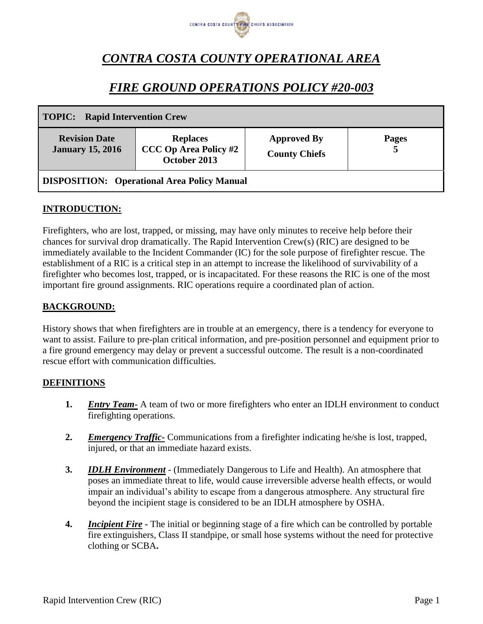

# *CONTRA COSTA COUNTY OPERATIONAL AREA*

# *FIRE GROUND OPERATIONS POLICY #20-003*

| <b>TOPIC:</b> Rapid Intervention Crew              |                                                                 |                                            |                   |
|----------------------------------------------------|-----------------------------------------------------------------|--------------------------------------------|-------------------|
| <b>Revision Date</b><br><b>January 15, 2016</b>    | <b>Replaces</b><br><b>CCC Op Area Policy #2</b><br>October 2013 | <b>Approved By</b><br><b>County Chiefs</b> | <b>Pages</b><br>5 |
| <b>DISPOSITION:</b> Operational Area Policy Manual |                                                                 |                                            |                   |

## **INTRODUCTION:**

Firefighters, who are lost, trapped, or missing, may have only minutes to receive help before their chances for survival drop dramatically. The Rapid Intervention Crew(s) (RIC) are designed to be immediately available to the Incident Commander (IC) for the sole purpose of firefighter rescue. The establishment of a RIC is a critical step in an attempt to increase the likelihood of survivability of a firefighter who becomes lost, trapped, or is incapacitated. For these reasons the RIC is one of the most important fire ground assignments. RIC operations require a coordinated plan of action.

#### **BACKGROUND:**

History shows that when firefighters are in trouble at an emergency, there is a tendency for everyone to want to assist. Failure to pre-plan critical information, and pre-position personnel and equipment prior to a fire ground emergency may delay or prevent a successful outcome. The result is a non-coordinated rescue effort with communication difficulties.

#### **DEFINITIONS**

- **1.** *Entry Team-* A team of two or more firefighters who enter an IDLH environment to conduct firefighting operations.
- **2.** *Emergency Traffic-* Communications from a firefighter indicating he/she is lost, trapped, injured, or that an immediate hazard exists.
- **3.** *IDLH Environment* (Immediately Dangerous to Life and Health). An atmosphere that poses an immediate threat to life, would cause irreversible adverse health effects, or would impair an individual's ability to escape from a dangerous atmosphere. Any structural fire beyond the incipient stage is considered to be an IDLH atmosphere by OSHA.
- **4.** *Incipient Fire* **-** The initial or beginning stage of a fire which can be controlled by portable fire extinguishers, Class II standpipe, or small hose systems without the need for protective clothing or SCBA**.**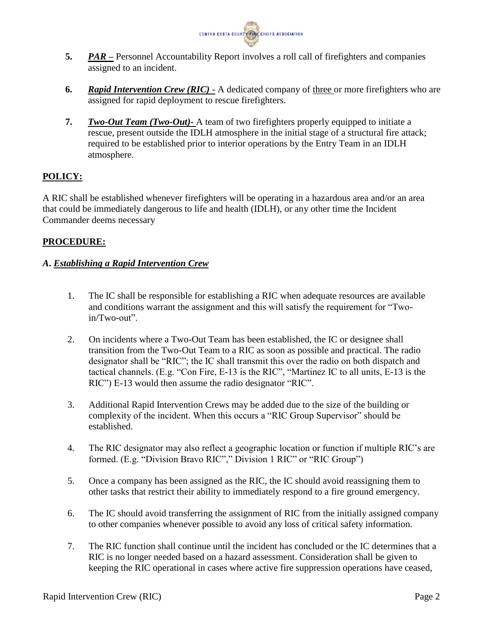

- **5.** *PAR –* Personnel Accountability Report involves a roll call of firefighters and companies assigned to an incident.
- **6.** *Rapid Intervention Crew (RIC) -* A dedicated company of three or more firefighters who are assigned for rapid deployment to rescue firefighters.
- **7.** *Two-Out Team (Two-Out)-* A team of two firefighters properly equipped to initiate a rescue, present outside the IDLH atmosphere in the initial stage of a structural fire attack; required to be established prior to interior operations by the Entry Team in an IDLH atmosphere.

# **POLICY:**

A RIC shall be established whenever firefighters will be operating in a hazardous area and/or an area that could be immediately dangerous to life and health (IDLH), or any other time the Incident Commander deems necessary

# **PROCEDURE:**

# *A***.** *Establishing a Rapid Intervention Crew*

- 1. The IC shall be responsible for establishing a RIC when adequate resources are available and conditions warrant the assignment and this will satisfy the requirement for "Twoin/Two-out".
- 2. On incidents where a Two-Out Team has been established, the IC or designee shall transition from the Two-Out Team to a RIC as soon as possible and practical. The radio designator shall be "RIC"; the IC shall transmit this over the radio on both dispatch and tactical channels. (E.g. "Con Fire, E-13 is the RIC", "Martinez IC to all units, E-13 is the RIC") E-13 would then assume the radio designator "RIC".
- 3. Additional Rapid Intervention Crews may be added due to the size of the building or complexity of the incident. When this occurs a "RIC Group Supervisor" should be established.
- 4. The RIC designator may also reflect a geographic location or function if multiple RIC's are formed. (E.g. "Division Bravo RIC"," Division 1 RIC" or "RIC Group")
- 5. Once a company has been assigned as the RIC, the IC should avoid reassigning them to other tasks that restrict their ability to immediately respond to a fire ground emergency.
- 6. The IC should avoid transferring the assignment of RIC from the initially assigned company to other companies whenever possible to avoid any loss of critical safety information.
- 7. The RIC function shall continue until the incident has concluded or the IC determines that a RIC is no longer needed based on a hazard assessment. Consideration shall be given to keeping the RIC operational in cases where active fire suppression operations have ceased,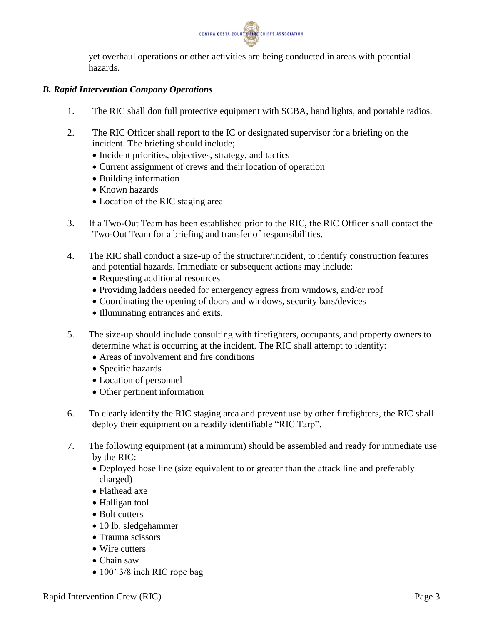

yet overhaul operations or other activities are being conducted in areas with potential hazards.

## *B. Rapid Intervention Company Operations*

- 1. The RIC shall don full protective equipment with SCBA, hand lights, and portable radios.
- 2. The RIC Officer shall report to the IC or designated supervisor for a briefing on the incident. The briefing should include;
	- Incident priorities, objectives, strategy, and tactics
	- Current assignment of crews and their location of operation
	- Building information
	- Known hazards
	- Location of the RIC staging area
- 3. If a Two-Out Team has been established prior to the RIC, the RIC Officer shall contact the Two-Out Team for a briefing and transfer of responsibilities.
- 4. The RIC shall conduct a size-up of the structure/incident, to identify construction features and potential hazards. Immediate or subsequent actions may include:
	- Requesting additional resources
	- Providing ladders needed for emergency egress from windows, and/or roof
	- Coordinating the opening of doors and windows, security bars/devices
	- Illuminating entrances and exits.
- 5. The size-up should include consulting with firefighters, occupants, and property owners to determine what is occurring at the incident. The RIC shall attempt to identify:
	- Areas of involvement and fire conditions
	- Specific hazards
	- Location of personnel
	- Other pertinent information
- 6. To clearly identify the RIC staging area and prevent use by other firefighters, the RIC shall deploy their equipment on a readily identifiable "RIC Tarp".
- 7. The following equipment (at a minimum) should be assembled and ready for immediate use by the RIC:
	- Deployed hose line (size equivalent to or greater than the attack line and preferably charged)
	- Flathead axe
	- Halligan tool
	- Bolt cutters
	- 10 lb. sledgehammer
	- Trauma scissors
	- Wire cutters
	- Chain saw
	- 100' 3/8 inch RIC rope bag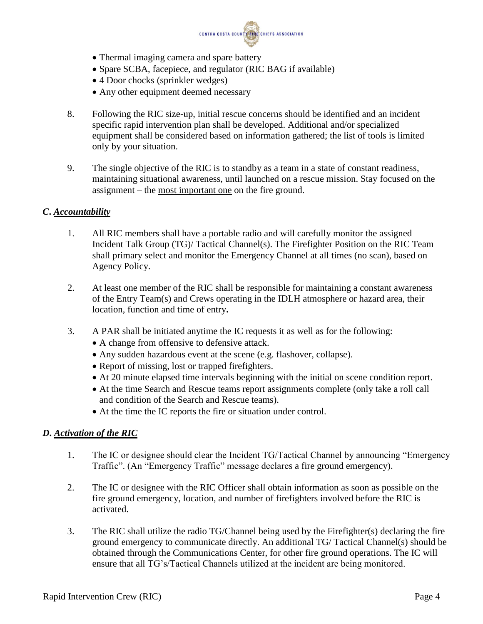

- Thermal imaging camera and spare battery
- Spare SCBA, facepiece, and regulator (RIC BAG if available)
- 4 Door chocks (sprinkler wedges)
- Any other equipment deemed necessary
- 8. Following the RIC size-up, initial rescue concerns should be identified and an incident specific rapid intervention plan shall be developed. Additional and/or specialized equipment shall be considered based on information gathered; the list of tools is limited only by your situation.
- 9. The single objective of the RIC is to standby as a team in a state of constant readiness, maintaining situational awareness, until launched on a rescue mission. Stay focused on the assignment – the most important one on the fire ground.

## *C***.** *Accountability*

- 1. All RIC members shall have a portable radio and will carefully monitor the assigned Incident Talk Group (TG)/ Tactical Channel(s). The Firefighter Position on the RIC Team shall primary select and monitor the Emergency Channel at all times (no scan), based on Agency Policy.
- 2. At least one member of the RIC shall be responsible for maintaining a constant awareness of the Entry Team(s) and Crews operating in the IDLH atmosphere or hazard area, their location, function and time of entry**.**
- 3. A PAR shall be initiated anytime the IC requests it as well as for the following:
	- A change from offensive to defensive attack.
	- Any sudden hazardous event at the scene (e.g. flashover, collapse).
	- Report of missing, lost or trapped firefighters.
	- At 20 minute elapsed time intervals beginning with the initial on scene condition report.
	- At the time Search and Rescue teams report assignments complete (only take a roll call and condition of the Search and Rescue teams).
	- At the time the IC reports the fire or situation under control.

# *D***.** *Activation of the RIC*

- 1. The IC or designee should clear the Incident TG/Tactical Channel by announcing "Emergency Traffic". (An "Emergency Traffic" message declares a fire ground emergency).
- 2. The IC or designee with the RIC Officer shall obtain information as soon as possible on the fire ground emergency, location, and number of firefighters involved before the RIC is activated.
- 3. The RIC shall utilize the radio TG/Channel being used by the Firefighter(s) declaring the fire ground emergency to communicate directly. An additional TG/ Tactical Channel(s) should be obtained through the Communications Center, for other fire ground operations. The IC will ensure that all TG's/Tactical Channels utilized at the incident are being monitored.